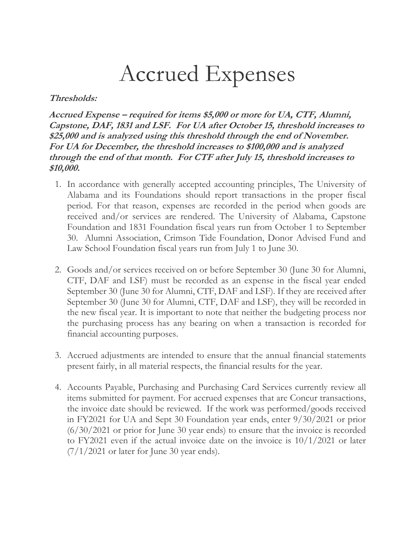## Accrued Expenses

## **Thresholds:**

**Accrued Expense – required for items \$5,000 or more for UA, CTF, Alumni, Capstone, DAF, 1831 and LSF. For UA after October 15, threshold increases to \$25,000 and is analyzed using this threshold through the end of November. For UA for December, the threshold increases to \$100,000 and is analyzed through the end of that month. For CTF after July 15, threshold increases to \$10,000.** 

- 1. In accordance with generally accepted accounting principles, The University of Alabama and its Foundations should report transactions in the proper fiscal period. For that reason, expenses are recorded in the period when goods are received and/or services are rendered. The University of Alabama, Capstone Foundation and 1831 Foundation fiscal years run from October 1 to September 30. Alumni Association, Crimson Tide Foundation, Donor Advised Fund and Law School Foundation fiscal years run from July 1 to June 30.
- 2. Goods and/or services received on or before September 30 (June 30 for Alumni, CTF, DAF and LSF) must be recorded as an expense in the fiscal year ended September 30 (June 30 for Alumni, CTF, DAF and LSF). If they are received after September 30 (June 30 for Alumni, CTF, DAF and LSF), they will be recorded in the new fiscal year. It is important to note that neither the budgeting process nor the purchasing process has any bearing on when a transaction is recorded for financial accounting purposes.
- 3. Accrued adjustments are intended to ensure that the annual financial statements present fairly, in all material respects, the financial results for the year.
- 4. Accounts Payable, Purchasing and Purchasing Card Services currently review all items submitted for payment. For accrued expenses that are Concur transactions, the invoice date should be reviewed. If the work was performed/goods received in FY2021 for UA and Sept 30 Foundation year ends, enter 9/30/2021 or prior (6/30/2021 or prior for June 30 year ends) to ensure that the invoice is recorded to FY2021 even if the actual invoice date on the invoice is 10/1/2021 or later  $(7/1/2021$  or later for June 30 year ends).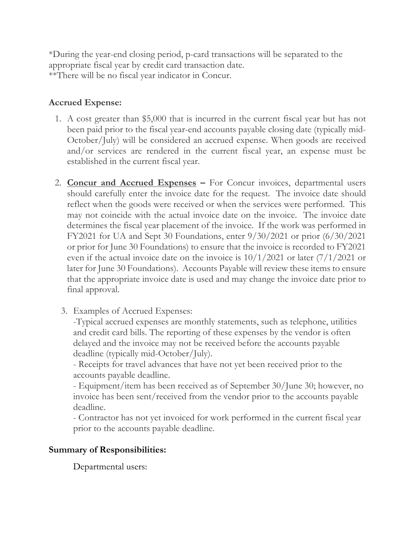\*During the year-end closing period, p-card transactions will be separated to the appropriate fiscal year by credit card transaction date. \*\*There will be no fiscal year indicator in Concur.

## **Accrued Expense:**

- 1. A cost greater than \$5,000 that is incurred in the current fiscal year but has not been paid prior to the fiscal year-end accounts payable closing date (typically mid-October/July) will be considered an accrued expense. When goods are received and/or services are rendered in the current fiscal year, an expense must be established in the current fiscal year.
- 2. **Concur and Accrued Expenses –** For Concur invoices, departmental users should carefully enter the invoice date for the request. The invoice date should reflect when the goods were received or when the services were performed. This may not coincide with the actual invoice date on the invoice. The invoice date determines the fiscal year placement of the invoice. If the work was performed in FY2021 for UA and Sept 30 Foundations, enter 9/30/2021 or prior (6/30/2021 or prior for June 30 Foundations) to ensure that the invoice is recorded to FY2021 even if the actual invoice date on the invoice is 10/1/2021 or later (7/1/2021 or later for June 30 Foundations). Accounts Payable will review these items to ensure that the appropriate invoice date is used and may change the invoice date prior to final approval.
	- 3. Examples of Accrued Expenses:

-Typical accrued expenses are monthly statements, such as telephone, utilities and credit card bills. The reporting of these expenses by the vendor is often delayed and the invoice may not be received before the accounts payable deadline (typically mid-October/July).

- Receipts for travel advances that have not yet been received prior to the accounts payable deadline.

- Equipment/item has been received as of September 30/June 30; however, no invoice has been sent/received from the vendor prior to the accounts payable deadline.

- Contractor has not yet invoiced for work performed in the current fiscal year prior to the accounts payable deadline.

## **Summary of Responsibilities:**

Departmental users: